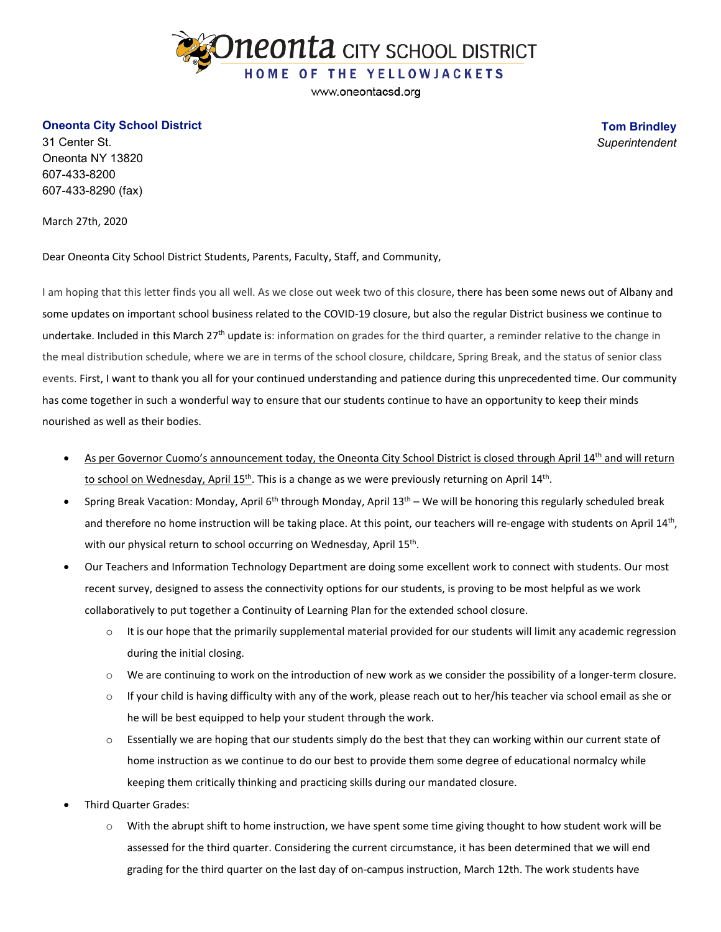

www.oneontacsd.org

## **Oneonta City School District**

31 Center St. Oneonta NY 13820 607-433-8200 607-433-8290 (fax)

March 27th, 2020

Dear Oneonta City School District Students, Parents, Faculty, Staff, and Community,

I am hoping that this letter finds you all well. As we close out week two of this closure, there has been some news out of Albany and some updates on important school business related to the COVID-19 closure, but also the regular District business we continue to undertake. Included in this March 27<sup>th</sup> update is: information on grades for the third quarter, a reminder relative to the change in the meal distribution schedule, where we are in terms of the school closure, childcare, Spring Break, and the status of senior class events. First, I want to thank you all for your continued understanding and patience during this unprecedented time. Our community has come together in such a wonderful way to ensure that our students continue to have an opportunity to keep their minds nourished as well as their bodies.

- As per Governor Cuomo's announcement today, the Oneonta City School District is closed through April 14<sup>th</sup> and will return to school on Wednesday, April  $15<sup>th</sup>$ . This is a change as we were previously returning on April  $14<sup>th</sup>$ .
- Spring Break Vacation: Monday, April 6<sup>th</sup> through Monday, April  $13<sup>th</sup> We will be honoring this regularly scheduled break$ and therefore no home instruction will be taking place. At this point, our teachers will re-engage with students on April 14<sup>th</sup>, with our physical return to school occurring on Wednesday, April 15<sup>th</sup>.
- Our Teachers and Information Technology Department are doing some excellent work to connect with students. Our most recent survey, designed to assess the connectivity options for our students, is proving to be most helpful as we work collaboratively to put together a Continuity of Learning Plan for the extended school closure.
	- $\circ$  It is our hope that the primarily supplemental material provided for our students will limit any academic regression during the initial closing.
	- $\circ$  We are continuing to work on the introduction of new work as we consider the possibility of a longer-term closure.
	- $\circ$  If your child is having difficulty with any of the work, please reach out to her/his teacher via school email as she or he will be best equipped to help your student through the work.
	- $\circ$  Essentially we are hoping that our students simply do the best that they can working within our current state of home instruction as we continue to do our best to provide them some degree of educational normalcy while keeping them critically thinking and practicing skills during our mandated closure.
- Third Quarter Grades:
	- $\circ$  With the abrupt shift to home instruction, we have spent some time giving thought to how student work will be assessed for the third quarter. Considering the current circumstance, it has been determined that we will end grading for the third quarter on the last day of on-campus instruction, March 12th. The work students have

**Tom Brindley** *Superintendent*